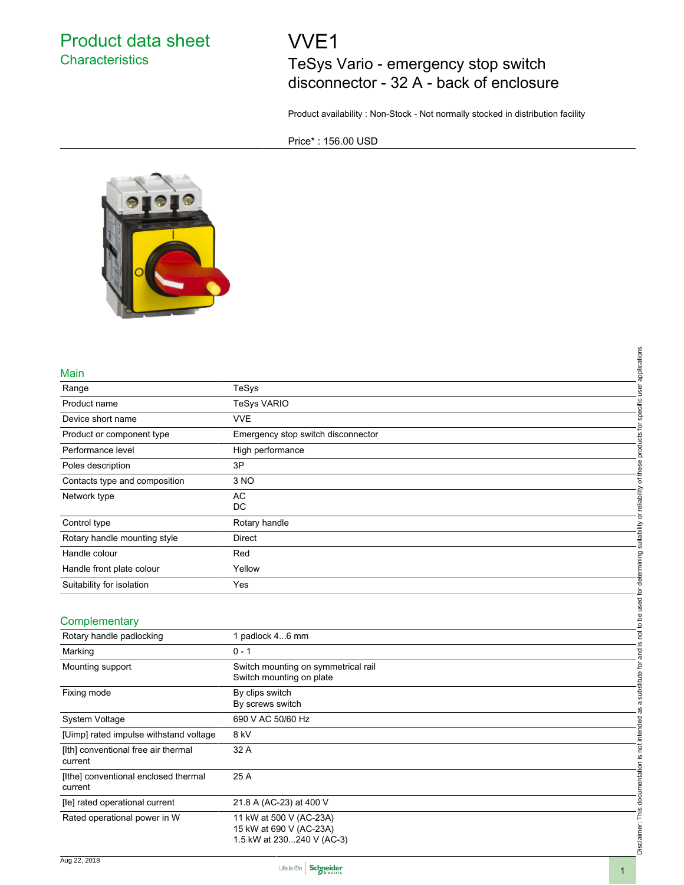### Product data sheet **Characteristics**

# VVE1

## TeSys Vario - emergency stop switch disconnector - 32 A - back of enclosure

Product availability : Non-Stock - Not normally stocked in distribution facility

Price\* : 156.00 USD



#### Main

| Main                                            | applications                                                                                                                      |
|-------------------------------------------------|-----------------------------------------------------------------------------------------------------------------------------------|
| Range                                           | TeSys                                                                                                                             |
| Product name                                    | specific user<br><b>TeSys VARIO</b>                                                                                               |
| Device short name                               | <b>VVE</b>                                                                                                                        |
| Product or component type                       | products for<br>Emergency stop switch disconnector                                                                                |
| Performance level                               | High performance                                                                                                                  |
| Poles description                               | 3P                                                                                                                                |
| Contacts type and composition                   | 3 NO                                                                                                                              |
| Network type                                    | AC<br><b>DC</b>                                                                                                                   |
| Control type                                    | Rotary handle                                                                                                                     |
| Rotary handle mounting style                    | <b>Direct</b>                                                                                                                     |
| Handle colour                                   | Red                                                                                                                               |
| Handle front plate colour                       | Yellow                                                                                                                            |
| Suitability for isolation                       | Yes                                                                                                                               |
| Complementary                                   | not to be used for determining suitability or reliability of these                                                                |
| Rotary handle padlocking                        | 1 padlock 46 mm<br><u>.ഗ</u>                                                                                                      |
| Marking                                         | $0 - 1$                                                                                                                           |
| Mounting support                                | Switch mounting on symmetrical rail<br>Switch mounting on plate                                                                   |
| Fixing mode                                     | as a substitute for and<br>By clips switch<br>By screws switch                                                                    |
| System Voltage                                  | 690 V AC 50/60 Hz                                                                                                                 |
| [Uimp] rated impulse withstand voltage          | 8 kV                                                                                                                              |
| [Ith] conventional free air thermal<br>current  | 32 A                                                                                                                              |
| [Ithe] conventional enclosed thermal<br>current | 25 A                                                                                                                              |
| [le] rated operational current                  | 21.8 A (AC-23) at 400 V                                                                                                           |
| Rated operational power in W                    | Disclaimer: This documentation is not intended<br>11 kW at 500 V (AC-23A)<br>15 kW at 690 V (AC-23A)<br>1.5 kW at 230240 V (AC-3) |

#### **Complementary**

| Complementary                                   |                                                                                 |          |
|-------------------------------------------------|---------------------------------------------------------------------------------|----------|
| Rotary handle padlocking                        | 1 padlock 46 mm                                                                 |          |
| Marking                                         | $0 - 1$                                                                         |          |
| Mounting support                                | Switch mounting on symmetrical rail<br>Switch mounting on plate                 |          |
| Fixing mode                                     | By clips switch<br>By screws switch                                             |          |
| System Voltage                                  | 690 V AC 50/60 Hz                                                               |          |
| [Uimp] rated impulse withstand voltage          | 8 kV                                                                            |          |
| [Ith] conventional free air thermal<br>current  | 32 A                                                                            |          |
| [Ithe] conventional enclosed thermal<br>current | 25 A                                                                            |          |
| [le] rated operational current                  | 21.8 A (AC-23) at 400 V                                                         |          |
| Rated operational power in W                    | 11 kW at 500 V (AC-23A)<br>15 kW at 690 V (AC-23A)<br>1.5 kW at 230240 V (AC-3) | $\Omega$ |